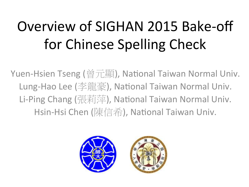# Overview of SIGHAN 2015 Bake-off for Chinese Spelling Check

Yuen-Hsien Tseng (曾元顯), National Taiwan Normal Univ. Lung-Hao Lee (李龍豪), National Taiwan Normal Univ. Li-Ping Chang (張莉萍), National Taiwan Normal Univ. Hsin-Hsi Chen (陳信希), National Taiwan Univ.

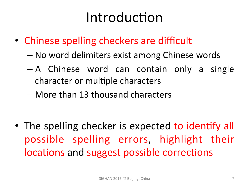### Introduction

- Chinese spelling checkers are difficult
	- No word delimiters exist among Chinese words
	- $A$  Chinese word can contain only a single character or multiple characters
	- More than 13 thousand characters

• The spelling checker is expected to identify all possible spelling errors, highlight their locations and suggest possible corrections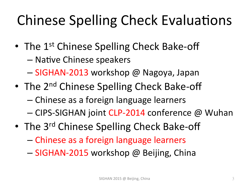# Chinese Spelling Check Evaluations

- The  $1^{st}$  Chinese Spelling Check Bake-off – Native Chinese speakers
	- SIGHAN-2013 workshop @ Nagoya, Japan
- The  $2^{nd}$  Chinese Spelling Check Bake-off
	- Chinese as a foreign language learners
	- CIPS-SIGHAN joint CLP-2014 conference @ Wuhan
- The 3<sup>rd</sup> Chinese Spelling Check Bake-off
	- Chinese as a foreign language learners
	- SIGHAN-2015 workshop @ Beijing, China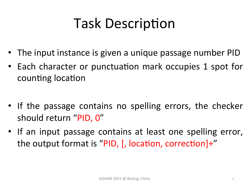## **Task Description**

- The input instance is given a unique passage number PID
- Each character or punctuation mark occupies 1 spot for counting location
- If the passage contains no spelling errors, the checker should return "PID, 0"
- If an input passage contains at least one spelling error, the output format is "PID, [, location, correction]+"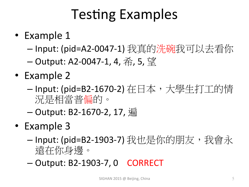## **Testing Examples**

- Example 1
	- -Input: (pid=A2-0047-1) 我真的洗碗我可以去看你
	- $-$  Output: A2-0047-1, 4,  $\hat{\pi}$ , 5, 望
- Example 2
	- Input: (pid=B2-1670-2) 在日本,大學生打工的情 況是相當普偏的。
	- $-$  Output: B2-1670-2, 17, 漏
- Example 3
	- Input: (pid=B2-1903-7) 我也是你的朋友, 我會永 遠在你身邊。
	- Output: B2-1903-7, 0 CORRECT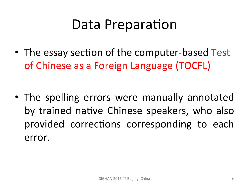### Data Preparation

• The essay section of the computer-based Test of Chinese as a Foreign Language (TOCFL)

• The spelling errors were manually annotated by trained native Chinese speakers, who also provided corrections corresponding to each error.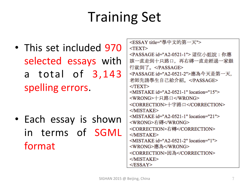# **Training Set**

• This set included 970 selected essays with a total of 3,143 spelling errors.

• Each essay is shown in terms of SGML format 

| <essay title="學中文的第一天"></essay>                  |
|--------------------------------------------------|
| $<$ TEXT $>$                                     |
| <passage id="A2-0521-1"> 這位小姐說:你應</passage>      |
| 該一直走到十只路口,再右磚一直走經過一家銀                            |
| 行就到了。                                            |
| <passage id="A2-0521-2">應為今天是第一天,</passage>      |
| 老師先請學生自己給介紹。                                     |
| $<$ TEXT $>$                                     |
| <mistake id="A2-0521-1" location="15"></mistake> |
| <wrong>十只路口</wrong>                              |
| <correction>十字路口</correction>                    |
| $<$ /MISTAKE>                                    |
| <mistake id="A2-0521-1" location="21"></mistake> |
| <wrong>右磚</wrong>                                |
| <correction>右轉</correction>                      |
| $<$ /MISTAKE>                                    |
| <mistake id="A2-0521-2" location="1"></mistake>  |
| <wrong>應為</wrong>                                |
| <correction>因為</correction>                      |
| $<$ /MISTAKE>                                    |
| $<$ /ESSAY>                                      |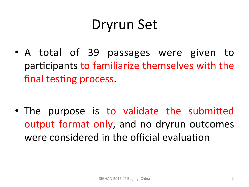### Dryrun Set

• A total of 39 passages were given to participants to familiarize themselves with the final testing process.

• The purpose is to validate the submitted output format only, and no dryrun outcomes were considered in the official evaluation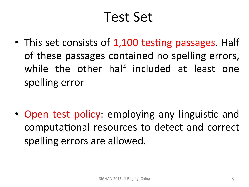### Test Set

• This set consists of 1,100 testing passages. Half of these passages contained no spelling errors, while the other half included at least one spelling error

• Open test policy: employing any linguistic and computational resources to detect and correct spelling errors are allowed.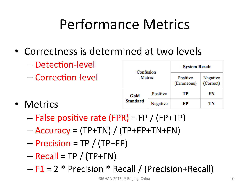# Performance Metrics

- Correctness is determined at two levels
	- Detection-level
	- Correction-level
- Metrics

| Confusion<br>Matrix |          | <b>System Result</b>    |                       |  |
|---------------------|----------|-------------------------|-----------------------|--|
|                     |          | Positive<br>(Erroneous) | Negative<br>(Correct) |  |
| Gold                | Positive | TP                      | FN                    |  |
| <b>Standard</b>     | Negative | FР                      | TN                    |  |

- $-$  False positive rate (FPR) = FP / (FP+TP)
- $-$  Accuracy = (TP+TN) / (TP+FP+TN+FN)
- $-$  Precision = TP / (TP+FP)
- $-$  Recall = TP / (TP+FN)
- $F1 = 2 * Precision * Recall / (Precision + Recall)$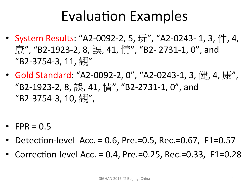### Evaluation Examples

- System Results: "A2-0092-2, 5, 玩", "A2-0243- 1, 3, 件, 4, 康", "B2-1923-2, 8, 誤, 41, 情", "B2- 2731-1, 0", and  $"B2-3754-3, 11, \frac{317}{85}$
- Gold Standard: "A2-0092-2, 0", "A2-0243-1, 3, 健, 4, 康", "B2-1923-2, 8, 誤, 41, 情", "B2-2731-1, 0", and "B2-3754-3, 10, 觀",
- FPR =  $0.5$
- Detection-level Acc. = 0.6, Pre.=0.5, Rec.=0.67, F1=0.57
- Correction-level Acc. = 0.4, Pre.=0.25, Rec.=0.33, F1=0.28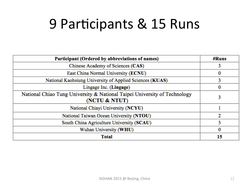### 9 Participants & 15 Runs

| Participant (Ordered by abbreviations of names)                           | #Runs |
|---------------------------------------------------------------------------|-------|
| Chinese Academy of Sciences (CAS)                                         |       |
| East China Normal University (ECNU)                                       | 0     |
| National Kaohsiung University of Applied Sciences (KUAS)                  | 3     |
| Lingage Inc. (Lingage)                                                    | 0     |
| National Chiao Tung University & National Taipei University of Technology | 3     |
| (NCTU & NTUT)                                                             |       |
| National Chiayi University (NCYU)                                         |       |
| National Taiwan Ocean University (NTOU)                                   | 2     |
| South China Agriculture University (SCAU)                                 | 3     |
| Wuhan University (WHU)                                                    | 0     |
| <b>Total</b>                                                              | 15    |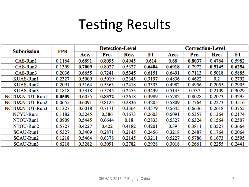### **Testing Results**

|                   |            | <b>Detection-Level</b> |        |        | <b>Correction-Level</b> |        |        |        |        |
|-------------------|------------|------------------------|--------|--------|-------------------------|--------|--------|--------|--------|
| <b>Submission</b> | <b>FPR</b> | Acc.                   | Pre.   | Rec.   | F1                      | Acc.   | Pre.   | Rec.   | F1     |
| $CAS-Run1$        | 0.1164     | 0.6891                 | 0.8095 | 0.4945 | 0.614                   | 0.68   | 0.8037 | 0.4764 | 0.5982 |
| CAS-Run2          | 0.1309     | 0.7009                 | 0.8027 | 0.5327 | 0.6404                  | 0.6918 | 0.7972 | 0.5145 | 0.6254 |
| $CAS-Run3$        | 0.2036     | 0.6655                 | 0.7241 | 0.5345 | 0.6151                  | 0.6491 | 0.7113 | 0.5018 | 0.5885 |
| KUAS-Run1         | 0.2327     | 0.5009                 | 0.5019 | 0.2345 | 0.3197                  | 0.4836 | 0.4622 | 0.2    | 0.2792 |
| KUAS-Run2         | 0.2091     | 0.5164                 | 0.5363 | 0.2418 | 0.3333                  | 0.4982 | 0.4956 | 0.2055 | 0.2905 |
| KUAS-Run3         | 0.1818     | 0.5318                 | 0.5745 | 0.2455 | 0.3439                  | 0.5145 | 0.537  | 0.2109 | 0.3029 |
| NCTU&NTUT-Run1    | 0.0509     | 0.6055                 | 0.8372 | 0.2618 | 0.3989                  | 0.5782 | 0.8028 | 0.2073 | 0.3295 |
| NCTU&NTUT-Run2    | 0.0655     | 0.6091                 | 0.8125 | 0.2836 | 0.4205                  | 0.5809 | 0.7764 | 0.2273 | 0.3516 |
| NCTU&NTUT-Run3    | 0.1327     | 0.6018                 | 0.7171 | 0.3364 | 0.4579                  | 0.5645 | 0.6636 | 0.2618 | 0.3755 |
| NCYU-Run1         | 0.1182     | 0.5245                 | 0.586  | 0.1673 | 0.2603                  | 0.5091 | 0.5357 | 0.1364 | 0.2174 |
| NTOU-Run1         | 0.0909     | 0.5445                 | 0.6644 | 0.18   | 0.2833                  | 0.5327 | 0.6324 | 0.1564 | 0.2507 |
| NTOU-Run2         | 0.5727     | 0.4227                 | 0.422  | 0.4182 | 0.4201                  | 0.39   | 0.3811 | 0.3527 | 0.3664 |
| SCAU-Run1         | 0.5327     | 0.3409                 | 0.2871 | 0.2145 | 0.2456                  | 0.3218 | 0.2487 | 0.1764 | 0.2064 |
| SCAU-Run2         | 0.1218     | 0.5464                 | 0.6378 | 0.2145 | 0.3211                  | 0.5227 | 0.5786 | 0.1673 | 0.2595 |
| SCAU-Run3         | 0.6218     | 0.3282                 | 0.3091 | 0.2782 | 0.2928                  | 0.3018 | 0.2661 | 0.2255 | 0.2441 |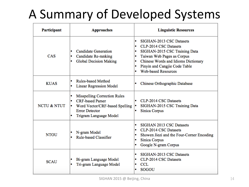### A Summary of Developed Systems

| Participant            | <b>Approaches</b>                                                                                                                                             | <b>Linguistic Resources</b>                                                                                                                                                                                                                                       |  |  |  |
|------------------------|---------------------------------------------------------------------------------------------------------------------------------------------------------------|-------------------------------------------------------------------------------------------------------------------------------------------------------------------------------------------------------------------------------------------------------------------|--|--|--|
| CAS                    | <b>Candidate Generation</b><br>۰<br>Candidate Re-ranking<br><b>Global Decision Making</b><br>٠                                                                | SIGHAN-2013 CSC Datasets<br>۰<br>CLP-2014 CSC Datasets<br>۰<br>SIGHAN-2015 CSC Training Data<br>$\bullet$<br>Taiwan Web Pages as Corpus<br>۰<br>Chinese Words and Idioms Dictionary<br>۰<br>Pinyin and Cangjie Code Table<br>۰<br><b>Web-based Resources</b><br>۰ |  |  |  |
| <b>KUAS</b>            | <b>Rules-based Method</b><br>$\bullet$<br><b>Linear Regression Model</b>                                                                                      | Chinese Orthographic Database                                                                                                                                                                                                                                     |  |  |  |
| <b>NCTU &amp; NTUT</b> | <b>Misspelling Correction Rules</b><br>۰<br><b>CRF-based Parser</b><br>۰<br>Word Vector/CRF-based Spelling<br><b>Error Detector</b><br>Trigram Language Model | CLP-2014 CSC Datasets<br>۰<br>SIGHAN-2015 CSC Training Data<br>Sinica Corpus                                                                                                                                                                                      |  |  |  |
| <b>NTOU</b>            | N-gram Model<br><b>Rule-based Classifier</b>                                                                                                                  | SIGHAN 2013 CSC Datasets<br>۰<br>CLP-2014 CSC Datasets<br>۰<br>Showen Jiezi and the Four-Corner Encoding<br>۰<br>Sinica Corpus<br>Google N-gram Corpus                                                                                                            |  |  |  |
| <b>SCAU</b>            | Bi-gram Language Model<br>Tri-gram Language Model                                                                                                             | SIGHAN-2013 CSC Datasets<br>۰<br>CLP-2014 CSC Datasets<br>۰<br><b>CCL</b><br>۰<br><b>SOGOU</b>                                                                                                                                                                    |  |  |  |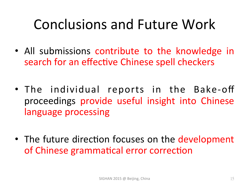## Conclusions and Future Work

- All submissions contribute to the knowledge in search for an effective Chinese spell checkers
- The individual reports in the Bake-off proceedings provide useful insight into Chinese language processing
- The future direction focuses on the development of Chinese grammatical error correction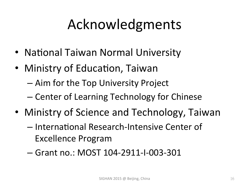## Acknowledgments

- National Taiwan Normal University
- Ministry of Education, Taiwan
	- Aim for the Top University Project
	- Center of Learning Technology for Chinese
- Ministry of Science and Technology, Taiwan
	- $-$  International Research-Intensive Center of Excellence Program
	- Grant no.: MOST 104-2911-I-003-301